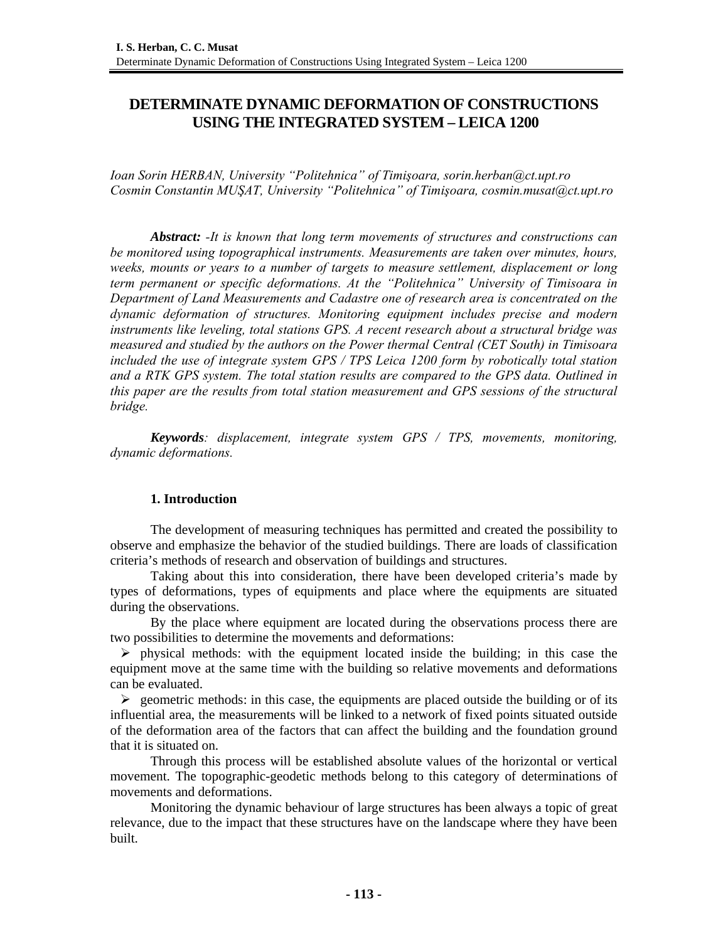# **DETERMINATE DYNAMIC DEFORMATION OF CONSTRUCTIONS USING THE INTEGRATED SYSTEM – LEICA 1200**

*Ioan Sorin HERBAN, University "Politehnica" of Timişoara, sorin.herban@ct.upt.ro Cosmin Constantin MUŞAT, University "Politehnica" of Timişoara, cosmin.musat@ct.upt.ro* 

*Abstract: -It is known that long term movements of structures and constructions can be monitored using topographical instruments. Measurements are taken over minutes, hours, weeks, mounts or years to a number of targets to measure settlement, displacement or long term permanent or specific deformations. At the "Politehnica" University of Timisoara in Department of Land Measurements and Cadastre one of research area is concentrated on the dynamic deformation of structures. Monitoring equipment includes precise and modern instruments like leveling, total stations GPS. A recent research about a structural bridge was measured and studied by the authors on the Power thermal Central (CET South) in Timisoara included the use of integrate system GPS / TPS Leica 1200 form by robotically total station and a RTK GPS system. The total station results are compared to the GPS data. Outlined in this paper are the results from total station measurement and GPS sessions of the structural bridge.* 

*Keywords: displacement, integrate system GPS / TPS, movements, monitoring, dynamic deformations.* 

# **1. Introduction**

The development of measuring techniques has permitted and created the possibility to observe and emphasize the behavior of the studied buildings. There are loads of classification criteria's methods of research and observation of buildings and structures.

Taking about this into consideration, there have been developed criteria's made by types of deformations, types of equipments and place where the equipments are situated during the observations.

By the place where equipment are located during the observations process there are two possibilities to determine the movements and deformations:

 $\triangleright$  physical methods: with the equipment located inside the building; in this case the equipment move at the same time with the building so relative movements and deformations can be evaluated.

 $\triangleright$  geometric methods: in this case, the equipments are placed outside the building or of its influential area, the measurements will be linked to a network of fixed points situated outside of the deformation area of the factors that can affect the building and the foundation ground that it is situated on.

Through this process will be established absolute values of the horizontal or vertical movement. The topographic-geodetic methods belong to this category of determinations of movements and deformations.

Monitoring the dynamic behaviour of large structures has been always a topic of great relevance, due to the impact that these structures have on the landscape where they have been built.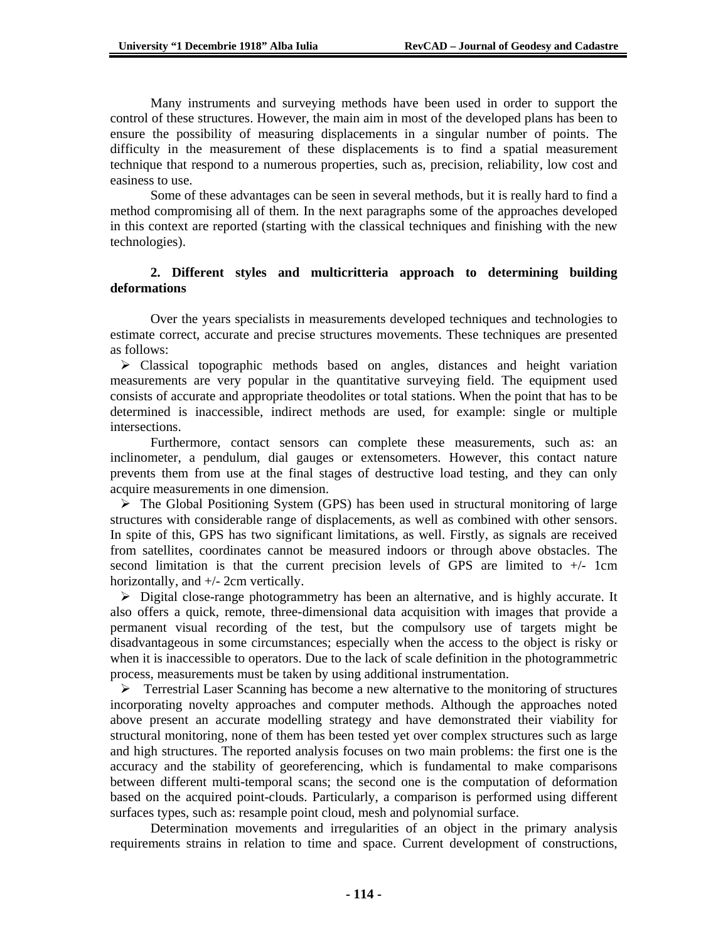Many instruments and surveying methods have been used in order to support the control of these structures. However, the main aim in most of the developed plans has been to ensure the possibility of measuring displacements in a singular number of points. The difficulty in the measurement of these displacements is to find a spatial measurement technique that respond to a numerous properties, such as, precision, reliability, low cost and easiness to use.

Some of these advantages can be seen in several methods, but it is really hard to find a method compromising all of them. In the next paragraphs some of the approaches developed in this context are reported (starting with the classical techniques and finishing with the new technologies).

## **2. Different styles and multicritteria approach to determining building deformations**

Over the years specialists in measurements developed techniques and technologies to estimate correct, accurate and precise structures movements. These techniques are presented as follows:

 $\triangleright$  Classical topographic methods based on angles, distances and height variation measurements are very popular in the quantitative surveying field. The equipment used consists of accurate and appropriate theodolites or total stations. When the point that has to be determined is inaccessible, indirect methods are used, for example: single or multiple intersections.

Furthermore, contact sensors can complete these measurements, such as: an inclinometer, a pendulum, dial gauges or extensometers. However, this contact nature prevents them from use at the final stages of destructive load testing, and they can only acquire measurements in one dimension.

 $\triangleright$  The Global Positioning System (GPS) has been used in structural monitoring of large structures with considerable range of displacements, as well as combined with other sensors. In spite of this, GPS has two significant limitations, as well. Firstly, as signals are received from satellites, coordinates cannot be measured indoors or through above obstacles. The second limitation is that the current precision levels of GPS are limited to +/- 1cm horizontally, and +/- 2cm vertically.

 $\triangleright$  Digital close-range photogrammetry has been an alternative, and is highly accurate. It also offers a quick, remote, three-dimensional data acquisition with images that provide a permanent visual recording of the test, but the compulsory use of targets might be disadvantageous in some circumstances; especially when the access to the object is risky or when it is inaccessible to operators. Due to the lack of scale definition in the photogrammetric process, measurements must be taken by using additional instrumentation.

 $\triangleright$  Terrestrial Laser Scanning has become a new alternative to the monitoring of structures incorporating novelty approaches and computer methods. Although the approaches noted above present an accurate modelling strategy and have demonstrated their viability for structural monitoring, none of them has been tested yet over complex structures such as large and high structures. The reported analysis focuses on two main problems: the first one is the accuracy and the stability of georeferencing, which is fundamental to make comparisons between different multi-temporal scans; the second one is the computation of deformation based on the acquired point-clouds. Particularly, a comparison is performed using different surfaces types, such as: resample point cloud, mesh and polynomial surface.

Determination movements and irregularities of an object in the primary analysis requirements strains in relation to time and space. Current development of constructions,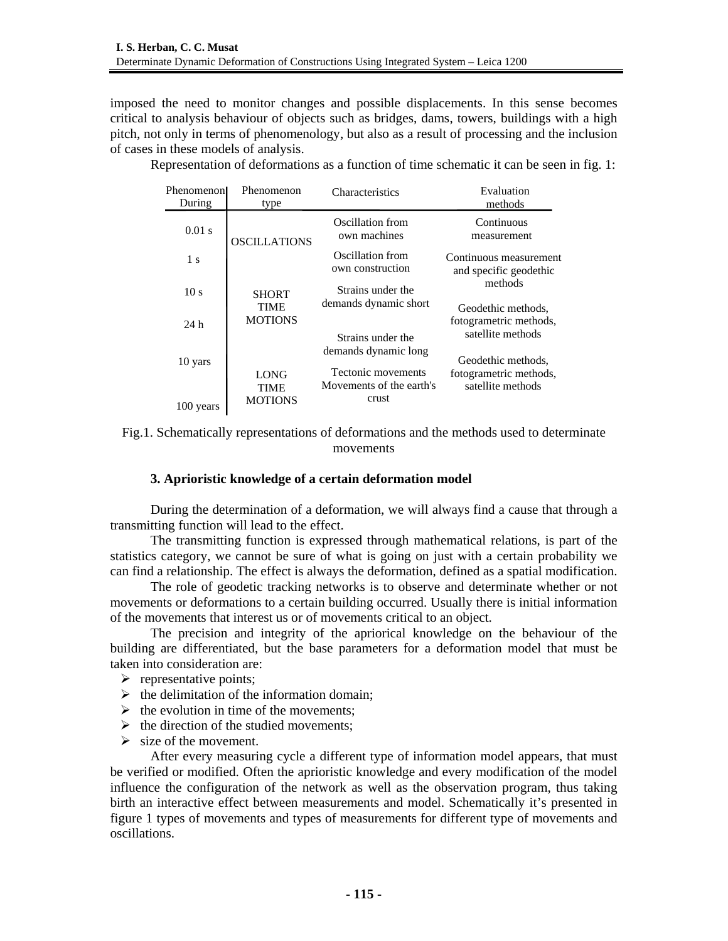imposed the need to monitor changes and possible displacements. In this sense becomes critical to analysis behaviour of objects such as bridges, dams, towers, buildings with a high pitch, not only in terms of phenomenology, but also as a result of processing and the inclusion of cases in these models of analysis.

| Phenomenonl<br>During | Phenomenon<br>type             | <b>Characteristics</b>                                  | Evaluation<br>methods                                                                                                            |  |
|-----------------------|--------------------------------|---------------------------------------------------------|----------------------------------------------------------------------------------------------------------------------------------|--|
| $0.01$ s              | <b>OSCILLATIONS</b>            | Oscillation from<br>own machines                        | Continuous<br>measurement                                                                                                        |  |
| 1 <sub>s</sub>        |                                | Oscillation from<br>own construction                    | Continuous measurement<br>and specific geodethic<br>methods<br>Geodethic methods,<br>fotogrametric methods,<br>satellite methods |  |
| 10 <sub>s</sub>       | <b>SHORT</b><br>TIME           | Strains under the<br>demands dynamic short              |                                                                                                                                  |  |
| 24h                   | <b>MOTIONS</b>                 | Strains under the                                       |                                                                                                                                  |  |
| 10 yars               |                                | demands dynamic long                                    | Geodethic methods,                                                                                                               |  |
| 100 years             | LONG<br>TIME<br><b>MOTIONS</b> | Tectonic movements<br>Movements of the earth's<br>crust | fotogrametric methods,<br>satellite methods                                                                                      |  |

Representation of deformations as a function of time schematic it can be seen in fig. 1:

# **3. Aprioristic knowledge of a certain deformation model**

During the determination of a deformation, we will always find a cause that through a transmitting function will lead to the effect.

The transmitting function is expressed through mathematical relations, is part of the statistics category, we cannot be sure of what is going on just with a certain probability we can find a relationship. The effect is always the deformation, defined as a spatial modification.

The role of geodetic tracking networks is to observe and determinate whether or not movements or deformations to a certain building occurred. Usually there is initial information of the movements that interest us or of movements critical to an object.

The precision and integrity of the apriorical knowledge on the behaviour of the building are differentiated, but the base parameters for a deformation model that must be taken into consideration are:

- $\triangleright$  representative points;
- $\triangleright$  the delimitation of the information domain;
- $\triangleright$  the evolution in time of the movements:
- $\triangleright$  the direction of the studied movements;
- $\triangleright$  size of the movement.

After every measuring cycle a different type of information model appears, that must be verified or modified. Often the aprioristic knowledge and every modification of the model influence the configuration of the network as well as the observation program, thus taking birth an interactive effect between measurements and model. Schematically it's presented in figure 1 types of movements and types of measurements for different type of movements and oscillations.

Fig.1. Schematically representations of deformations and the methods used to determinate movements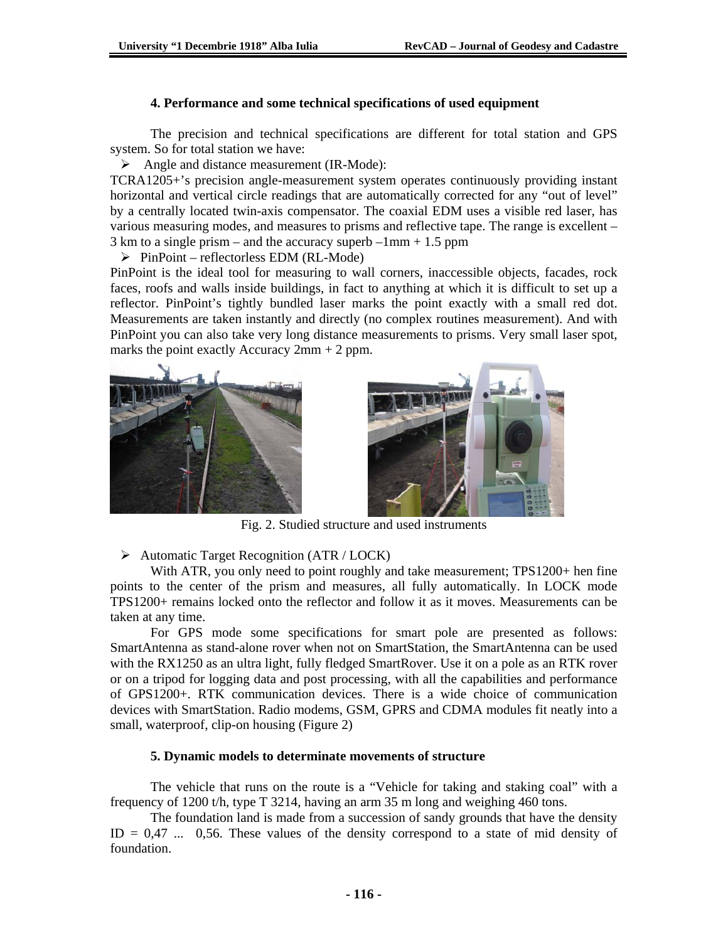#### **4. Performance and some technical specifications of used equipment**

The precision and technical specifications are different for total station and GPS system. So for total station we have:

¾ Angle and distance measurement (IR-Mode):

TCRA1205+'s precision angle-measurement system operates continuously providing instant horizontal and vertical circle readings that are automatically corrected for any "out of level" by a centrally located twin-axis compensator. The coaxial EDM uses a visible red laser, has various measuring modes, and measures to prisms and reflective tape. The range is excellent –  $3 \text{ km}$  to a single prism – and the accuracy superb –1mm + 1.5 ppm

 $\triangleright$  PinPoint – reflectorless EDM (RL-Mode)

PinPoint is the ideal tool for measuring to wall corners, inaccessible objects, facades, rock faces, roofs and walls inside buildings, in fact to anything at which it is difficult to set up a reflector. PinPoint's tightly bundled laser marks the point exactly with a small red dot. Measurements are taken instantly and directly (no complex routines measurement). And with PinPoint you can also take very long distance measurements to prisms. Very small laser spot, marks the point exactly Accuracy  $2mm + 2$  ppm.





Fig. 2. Studied structure and used instruments

¾ Automatic Target Recognition (ATR / LOCK)

With ATR, you only need to point roughly and take measurement; TPS1200+ hen fine points to the center of the prism and measures, all fully automatically. In LOCK mode TPS1200+ remains locked onto the reflector and follow it as it moves. Measurements can be taken at any time.

For GPS mode some specifications for smart pole are presented as follows: SmartAntenna as stand-alone rover when not on SmartStation, the SmartAntenna can be used with the RX1250 as an ultra light, fully fledged SmartRover. Use it on a pole as an RTK rover or on a tripod for logging data and post processing, with all the capabilities and performance of GPS1200+. RTK communication devices. There is a wide choice of communication devices with SmartStation. Radio modems, GSM, GPRS and CDMA modules fit neatly into a small, waterproof, clip-on housing (Figure 2)

#### **5. Dynamic models to determinate movements of structure**

The vehicle that runs on the route is a "Vehicle for taking and staking coal" with a frequency of 1200 t/h, type T 3214, having an arm 35 m long and weighing 460 tons.

The foundation land is made from a succession of sandy grounds that have the density  $ID = 0.47$  ... 0.56. These values of the density correspond to a state of mid density of foundation.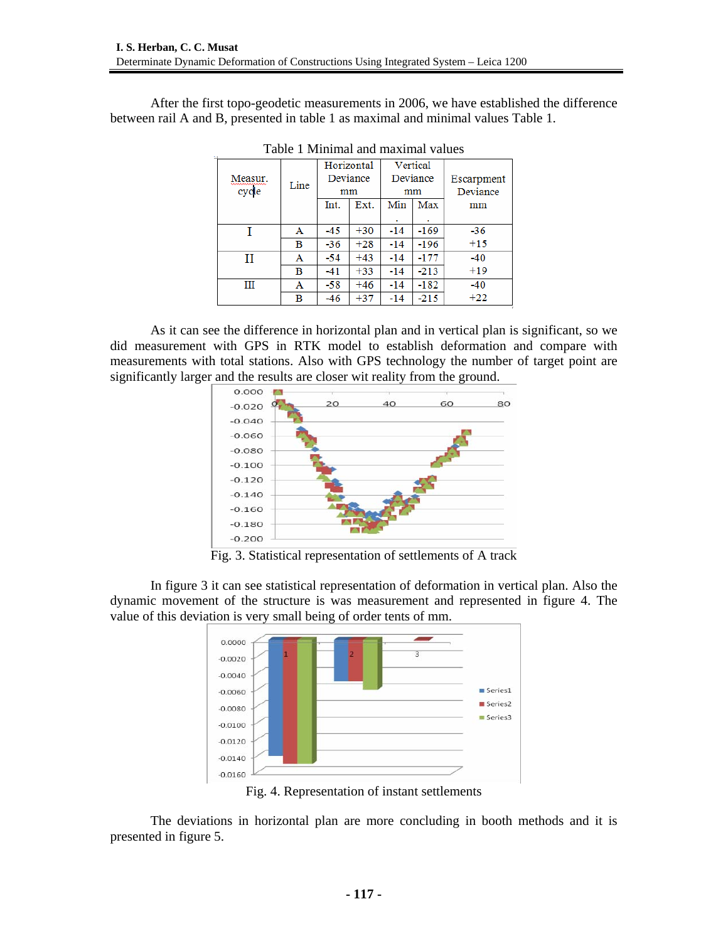After the first topo-geodetic measurements in 2006, we have established the difference between rail A and B, presented in table 1 as maximal and minimal values Table 1.

|         |      |       | Horizontal |       | Vertical |            |  |
|---------|------|-------|------------|-------|----------|------------|--|
| Measur. | Line |       | Deviance   |       | Deviance | Escarpment |  |
| cycle   |      | mm    |            | mm    |          | Deviance   |  |
|         |      | Int.  | Ext.       | Min   | Max      | mm         |  |
|         |      |       |            |       | ٠        |            |  |
|         | Α    | $-45$ | $+30$      | $-14$ | $-169$   | $-36$      |  |
|         | в    | $-36$ | $+28$      | $-14$ | $-196$   | $+15$      |  |
| Н       | A    | $-54$ | $+43$      | -14   | -177     | $-40$      |  |
|         | в    | $-41$ | $+33$      | -14   | $-213$   | $+19$      |  |
| Ш       | А    | $-58$ | $+46$      | $-14$ | $-182$   | $-40$      |  |
|         | в    | -46   | $+37$      | -14   | $-215$   | $+22$      |  |

Table 1 Minimal and maximal values

As it can see the difference in horizontal plan and in vertical plan is significant, so we did measurement with GPS in RTK model to establish deformation and compare with measurements with total stations. Also with GPS technology the number of target point are significantly larger and the results are closer wit reality from the ground.



Fig. 3. Statistical representation of settlements of A track

In figure 3 it can see statistical representation of deformation in vertical plan. Also the dynamic movement of the structure is was measurement and represented in figure 4. The value of this deviation is very small being of order tents of mm.



Fig. 4. Representation of instant settlements

The deviations in horizontal plan are more concluding in booth methods and it is presented in figure 5.